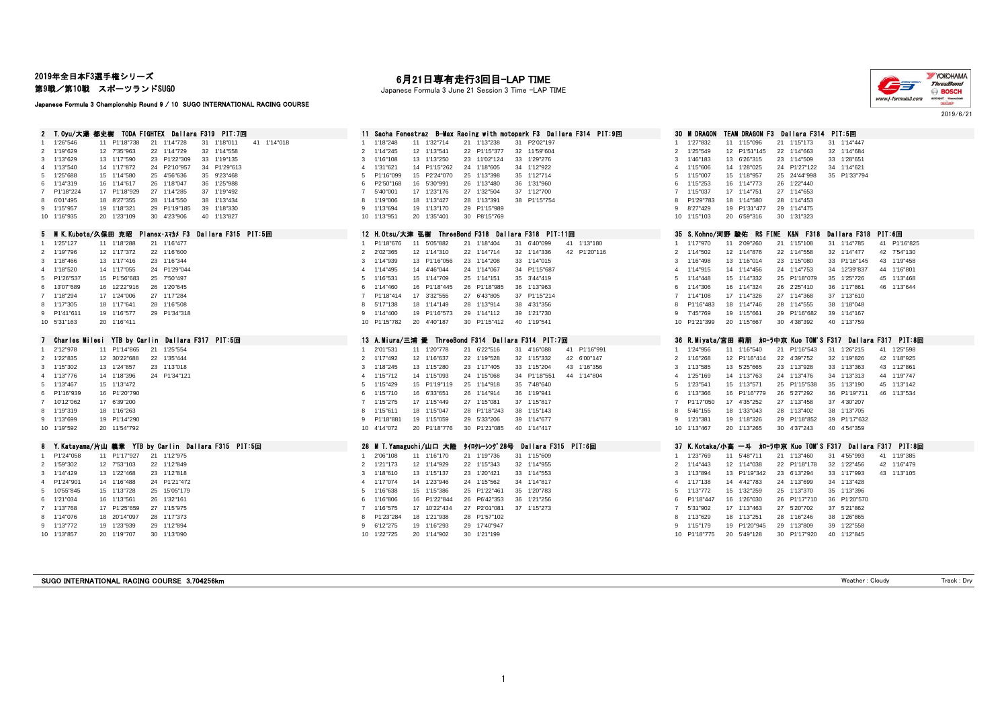### 2019年全日本F3選手権シリーズ

第9戦/第10戦 スポーツランドSUGO

### 6月21日専有走行3回目-LAP TIME

Japanese Formula 3 June 21 Session 3 Time -LAP TIME



Japanese Formula 3 Championship Round 9 / 10 SUGO INTERNATIONAL RACING COURSE 2 T.Oyu/大湯 都史樹 TODA FIGHTEX Dallara F319 PIT:7回 11 Sacha Fenestraz B-Max Racing with motopark F3 Dallara F314 PIT:9回 30 M DRAGON TEAM DRAGON F3 Dallara F314 PIT:5回 127932 31 115173 31 11474 21 115173 31 11474 11472 11474 1 1'26"546 11 P1'18"738 21 1'14"728 31 1'18"011 41 1'14"018<br>2 1'19"629 12 7'35"963 22 1'14"729 32 1'14"558 2 1'19"629 12 7'35"963 22 1'14"729 32 1'14"558<br>3 1'13"629 13 1'17"590 23 P1'22"309 33 1'19"135 3 1'13"629 13 1'17"590 23 P1'22"309 33 1'19"135<br>4 1'13"540 14 1'17"872 24 P2'10"957 34 P1'29"61: 4 1'13"540 14 1'17"872 24 P2'10"957 34 P1'29"613 4 1'31"621 14 P1'15"262 24 1'18"605 34 1'12"922 4 1'15"606 14 1'28"025 24 P1'27"122 34 1'14"621 5 1'25"688 15 1'14"580 25 4'56"636 35 9'23"468<br>6 1'14"319 16 1'14"617 26 1'18"047 36 1'25"988 6 1'14"319 16 1'14"617 26 1'18"047 36 1'25"988 6 P2'50"168 16 5'30"991 26 1'13"480 36 1'31"960 6 1'15"253 16 1'14"773 26 1'22"440 7 P1'18"224 17 P1'18"929 27 1'14"285 37 1'19"492<br>8 6'01"495 18 8'27"355 28 1'14"550 38 1'13"434 8 6'01"495 18 8'27"355 28 1'14"550 38 1'13"434 8 1'19"006 18 1'13"427 28 1'13"391 38 P1'15"754 8 P1'29"783 18 1'14"580 28 1'14"453 9 1'15"957 19 1'18"321 29 P1'19"185 39 1'18"330<br>10 1'16"935 20 1'23"109 30 4'23"906 40 1'13"827 20 1'23"109 30 4'23"906 40 1'13"827 5 MIK.Kubota**/久保田 克昭 Planex·スマカメ F3 Dallara F315 PIT:5回 12 H.Otsu/大津 弘樹 ThreeBond F318 Dallara F318 PIT:11回 35 S.Kohno. 71 S.Kohno. 71 S.Kohno. 71 S.Kohno. 71 S.Kohno. 71 S.Kohno. 71 S.Kohno. 71 S.Kohno. 71 S.Kohno. 71 S.** 1 1'25"127 11 1'18"288 21 1'16"477<br>2 1'19"796 12 1'17"372 22 1'16"600 2 1'19"796 12 1'17"372 22 1'16"600 2 2'02"365 12 1'14"310 22 1'14"714 32 1'14"336 42 P1'20"116 2 1'14"502 12 1'14"876 22 1'14"558 32 1'14"477 42 7'54"130 3 1'18"466 13 1'17"416 23 1'16"344 3 1'14"939 13 P1'16"056 23 1'14"208 33 1'14"015 3 1'16"498 13 1'16"014 23 1'15"080 33 P1'16"145 43 1'19"458 4 1'18"520 14 1'17"055 24 P1'29"044 4 1'14"495 14 4'46"044 24 1'14"067 34 P1'15"687 4 1'14"915 14 1'14"456 24 1'14"753 34 12'39"837 44 1'16"801 5 P1'26"537 15 P1'56"683 25 7'50"497 5 1'16"531 15 1'14"709 25 1'14"151 35 3'44"419 5 1'14"448 15 1'14"332 25 P1'18"079 35 1'25"726 45 1'13"468 6 13'07"689 16 12'22"916 26 1'20"645<br>7 1'18"294 17 1'24"006 27 1'17"284 7 1'18"294 17 1'24"006 27 1'17"284 7 P1'18"414 17 3'32"555 27 6'43"805 37 P1'15"214 7 1'14"108 17 1'14"326 27 1'14"368 37 1'13"610 8 1'17"305 18 1'17"641 28 1'16"508 8 5'17"138 18 1'14"149 28 1'13"914 38 4'31"356 8 P1'16"483 18 1'14"746 28 1'14"555 38 1'18"048 9 P1'41"611 19 1'16"577 29 P1'34"318 10 5'31"163 20 1'16"411 10 P1'15"782 20 4'40"187 30 P1'15"412 40 1'19"541 10 P1'21"399 20 1'15"667 30 4'38"392 40 1'13"759 7 Charles Milesi YTB by Carlin Dallara F317 PIT:5回 36 R.Miura/三浦 愛 ThreeBond F314 Dallara F314 PIT:7回 36 R.Mi 1 2'12"978 11 P1'14"865 21 1'25"554 2 1'22"835 12 30'22"688 22 1'35"444<br>3 1'15"302 13 1'24"857 23 1'13"018 3 1'15"302 13 1'24"857 23 1'13"018 3 1'18"245 13 1'15"280 23 1'17"405 33 1'15"204 43 1'16"356 3 1'13"585 13 5'25"665 23 1'13"928 33 1'13"363 43 1'12"861 4 1'13"776 14 1'18"396 24 P1'34"121 4 1'15"712 14 1'15"093 24 1'15"068 34 P1'18"551 44 1'14"804 4 1'25"169 14 1'13"763 24 1'13"476 34 1'13"313 44 1'19"747 5 1'13"467 15 1'13"472 5 1'15"429 15 P1'19"119 25 1'14"918 35 7'48"640 5 1'23"541 15 1'13"571 25 P1'15"538 35 1'13"190 45 1'13"142 6 P1'16"939 16 P1'20"790 6 1'15"710 16 6'33"651 26 1'14"914 36 1'19"941 6 1'13"366 16 P1'16"779 26 5'27"292 36 P1'19"711 46 1'13"534 7 10'12"062 17 6'39"200 7 1'15"275 17 1'15"449 27 1'15"081 37 1'15"817 7 P1'17"050 17 4'35"252 27 1'13"458 37 4'30"207 8 1'19"319 18 1'16"263 8 1'15"611 18 1'15"047 28 P1'18"243 38 1'15"143 8 5'46"155 18 1'33"043 28 1'13"402 38 1'13"705 9 1'13"699 19 P1'14"290 9 P1'18"881 19 1'15"059 29 5'33"206 39 1'14"677 9 1'21"381 19 1'18"326 29 P1'18"852 39 P1'17"632 10 1'19"592 20 11'54"792 10 4'14"072 20 P1'18"776 30 P1'21"085 40 1'14"417 10 1'13"467 20 1'13"265 30 4'37"243 40 4'54"359 8 Y.Katayama/片山 義章 YTB by Carlin Dallara F315 PIT:5回 28 M T.Yamaguchi/山口 大陸 タイロクレーシング28号 Dallara F315 PIT:6回 1 P1'24"058 11 P1'17"927 21 1'12"975<br>2 1'59"302 12 7'53"103 22 1'12"849 2 1'59"302 12 7'53"103 22 1'12"849 2 1'21"173 12 1'14"929 22 1'15"343 32 1'14"955 2 1'14"443 12 1'14"038 22 P1'18"178 32 1'22"456 42 1'16"479 3 1'14"429 13 1'22"468 23 1'12"818 3 1'18"610 13 1'15"137 23 1'20"421 33 1'14"553 3 1'13"894 13 P1'19"342 23 6'13"294 33 1'17"993 43 1'13"105 4 P1'24"901 14 1'16"488 24 P1'21"472<br>5 10'55"845 15 1'13"728 25 15'05"179 5 10'55"845 15 1'13"728 25 15'05"179 5 1'16"638 15 1'15"386 25 P1'22"461 35 1'20"783 5 1'13"772 15 1'32"259 25 1'13"370 35 1'13"396 6 1'21"034 16 1'13"561 26 1'32"161 6 1'16"806 16 P1'22"844 26 P6'42"353 36 1'21"256 6 P1'18"447 16 1'26"030 26 P1'17"710 36 P1'20"570 7 1'13"768 17 P1'25"659 27 1'15"975<br>8 1'14"076 18 20'14"097 28 1'17"373 8 1'14"076 18 20'14"097 28 1'17"373 8 P1'23"284 18 1'21"938 28 P1'57"102 8 1'13"629 18 1'13"251 28 1'16"246 38 1'26"865 9 1'13"772 19 1'23"939 29 1'12"894 9 6'12"275 19 1'16"293 29 17'40"947 9 1'15"179 19 P1'20"945 29 1'13"809 39 1'22"558 10 1'13"857 20 1'19"707 30 1'13"090 10 1'22"725 20 1'14"902 30 1'21"199 10 P1'18"775 20 5'49"128 30 P1'17"920 40 1'12"845

| 11             | Sacha Fenestraz B-Max Racing with motopark F3 Dallara F314 |    |             |    |                          |    |                            |    | PIT∶9⊡      |
|----------------|------------------------------------------------------------|----|-------------|----|--------------------------|----|----------------------------|----|-------------|
| 1              | 1'18"248                                                   | 11 | 1'32"714    | 21 | 1'13"238                 | 31 | P2'02"197                  |    |             |
| $\overline{2}$ | 1'14"245                                                   | 12 | 1'13"541    | 22 | P1'15"377                | 32 | 11'59"604                  |    |             |
| 3              | 1'16"108                                                   | 13 | 1'13"250    | 23 | 11'02"124                | 33 | 1'29"276                   |    |             |
| 4              | 1'31"621                                                   | 14 | P1'15"262   | 24 | 1'18"605                 | 34 | 1'12"922                   |    |             |
| 5              | P1'16"099                                                  | 15 | P2'24"070   | 25 | 1'13"398                 | 35 | 1'12"714                   |    |             |
| 6              | P2'50"168                                                  | 16 | 5'30"991    | 26 | 1'13"480                 | 36 | 1'31"960                   |    |             |
| 7              | 5'40"001                                                   | 17 | 1'23"176    | 27 | 1'32"504                 | 37 | 1'12"700                   |    |             |
| 8              | 1'19"006                                                   | 18 | 1'13"427    | 28 | 1'13"391                 | 38 | P1'15"754                  |    |             |
| 9              | 1'13"694                                                   | 19 | 1'13"170    | 29 | P1'15"989                |    |                            |    |             |
| 10             | 1'13"951                                                   | 20 | 1'35"401    | 30 | P8'15"769                |    |                            |    |             |
| 12             | H.Otsu/大津 弘樹 ThreeBond F318 Dallara F318 PIT:11回           |    |             |    |                          |    |                            |    |             |
| 1              | P1'18"676                                                  | 11 | 5'05"882    | 21 | 1'18"404                 | 31 | 6'40"099                   | 41 | 1'13"180    |
| 2              | 2'02"365                                                   | 12 | 1'14"310    | 22 | 1'14"714                 |    | 32 1'14"336                | 42 | P1'20"116   |
| 3              | 1'14"939                                                   | 13 | P1'16"056   | 23 | 1'14"208                 | 33 | 1'14"015                   |    |             |
| 4              | 1'14"495                                                   | 14 | 4'46"044    | 24 | 1'14"067                 |    | 34 P1'15"687               |    |             |
| 5              | 1'16"531                                                   | 15 | 1'14"709    | 25 | 1'14"151                 |    | 35 3'44"419                |    |             |
| 6              | 1'14"460                                                   | 16 | P1'18"445   |    | 26 P1'18"985             |    | 36 1'13"963                |    |             |
| 7              | P1'18"414                                                  |    | 17 3'32"555 |    | 27 6'43"805              |    | 37 P1'15"214               |    |             |
| 8              | 5'17"138                                                   | 18 | 1'14"149    | 28 | 1'13"914                 | 38 | 4'31"356                   |    |             |
| 9              | 1'14"400                                                   | 19 | P1'16"573   | 29 | 1'14"112                 | 39 | 1'21"730                   |    |             |
| 10             | P1'15"782                                                  |    | 20 4'40"187 |    | 30 P1'15"412             | 40 | 1'19"541                   |    |             |
|                |                                                            |    |             |    |                          |    |                            |    |             |
|                | 13 A.Miura/三浦 愛 ThreeBond F314 Dallara F314                |    |             |    |                          |    | PIT:7回                     |    |             |
| 1              | 2'01"531                                                   | 11 | 1'20"778    |    | 21 6'22"516              |    | 31 4'16"088                | 41 | P1'16"991   |
| 2              | 1'17"492                                                   | 12 | 1'16"637    | 22 | 1'19"528                 | 32 | 1'15"332                   | 42 | 6'00"147    |
| 3              | 1'18"245                                                   | 13 | 1'15"280    | 23 | 1'17"405                 |    | 33 1'15"204                |    | 43 1'16"356 |
| 4              | 1'15"712                                                   | 14 | 1'15"093    |    | 24 1'15"068              |    | 34 P1'18"551               | 44 | 1'14"804    |
| 5              | 1'15"429                                                   | 15 | P1'19"119   | 25 | 1'14"918                 |    | 35 7'48"640                |    |             |
| 6              | 1'15"710                                                   | 16 | 6'33"651    | 26 | 1'14"914                 |    | 36 1'19"941                |    |             |
| 7              | 1'15"275                                                   | 17 | 1'15"449    | 27 | 1'15"081                 | 37 | 1'15"817                   |    |             |
| 8              | 1'15"611                                                   | 18 | 1'15"047    |    | 28 P1'18"243             |    | 38 1'15"143                |    |             |
| 9              | P1'18"881                                                  | 19 | 1'15"059    | 29 | 5'33"206                 | 39 | 1'14"677                   |    |             |
| 10             | 4'14"072                                                   | 20 | P1'18"776   | 30 | P1'21"085                | 40 | 1'14"417                   |    |             |
| 28             |                                                            |    |             |    |                          |    | Dallara F315               |    | PIT:6回      |
| 1              | M T.Yamaguchi/山口 大陸<br>2'06"108                            | 11 | 1'16"170    | 21 | タイロクレーシング28号<br>1'19"736 |    |                            |    |             |
| $\overline{2}$ | 1'21"173                                                   | 12 | 1'14"929    | 22 | 1'15"343                 |    | 31 1'15"609<br>32 1'14"955 |    |             |
|                |                                                            |    |             |    |                          |    |                            |    |             |
| 3              | 1'18"610                                                   | 13 | 1'15"137    | 23 | 1'20"421                 |    | 33 1'14"553                |    |             |
| 4              | 1'17"074                                                   | 14 | 1'23"946    | 24 | 1'15"562                 |    | 34 1'14"817                |    |             |
| 5              | 1'16"638                                                   | 15 | 1'15"386    | 25 | P1'22"461                | 35 | 1'20"783                   |    |             |
| 6              | 1'16"806                                                   | 16 | P1'22"844   | 26 | P6'42"353                | 36 | 1'21"256                   |    |             |
| 7              | 1'16"575                                                   | 17 | 10'22"434   | 27 | P2'01"081                | 37 | 1'15"273                   |    |             |
| 8              | P1'23"284                                                  | 18 | 1'21"938    |    | 28 P1'57"102             |    |                            |    |             |
| 9              | 6'12"275                                                   | 19 | 1'16"293    |    | 29 17'40"947             |    |                            |    |             |
| 10             | 1'22"725                                                   | 20 | 1'14"902    | 30 | 1'21"199                 |    |                            |    |             |
|                |                                                            |    |             |    |                          |    |                            |    |             |

| 1              |                |    |                |    |                      |    |              |    |           |
|----------------|----------------|----|----------------|----|----------------------|----|--------------|----|-----------|
|                | 1'27"832       | 11 | 1'15"096       | 21 | 1'15"173             | 31 | 1'14"447     |    |           |
| $\overline{2}$ | 1'25"549       | 12 | P1'51"145      | 22 | 1'14"663             | 32 | 1'14"684     |    |           |
| 3              | 1'46"183       | 13 | 6'26"315       | 23 | 1'14"509             | 33 | 1'28"651     |    |           |
| 4              | 1'15"606       | 14 | 1'28"025       | 24 | P1'27"122            | 34 | 1'14"621     |    |           |
| 5              | 1'15"007       | 15 | 1'18"957       | 25 | 24'44"998            | 35 | P1'33"794    |    |           |
| 6              | 1'15"253       | 16 | 1'14"773       | 26 | 1'22"440             |    |              |    |           |
| 7              | 1'15"037       | 17 | 1'14"751       | 27 | 1'14"653             |    |              |    |           |
| 8              | P1'29"783      | 18 | 1'14"580       | 28 | 1'14"453             |    |              |    |           |
| 9              | 8'27"429       | 19 | P1'31"477      | 29 | 1'14"475             |    |              |    |           |
| 10             | 1'15"103       | 20 | 6'59"316       | 30 | 1'31"323             |    |              |    |           |
|                |                |    |                |    |                      |    |              |    |           |
| 35             | S.Kohno/河野 駿佑  |    | <b>RS FINE</b> |    | K&N<br>F318          |    | Dallara F318 |    | PIT:6回    |
| 1              | 1'17"970       | 11 | 2'09"260       | 21 | 1'15"108             | 31 | 1'14"785     | 41 | P1'16"825 |
| $\overline{2}$ | 1'14"502       | 12 | 1'14"876       | 22 | 1'14"558             | 32 | 1'14"477     | 42 | 7'54"130  |
| 3              | 1'16"498       | 13 | 1'16"014       | 23 | 1'15"080             | 33 | P1'16"145    | 43 | 1'19"458  |
| 4              | 1'14"915       | 14 | 1'14"456       | 24 | 1'14"753             | 34 | 12'39"837    | 44 | 1'16"801  |
| 5              | 1'14"448       | 15 | 1'14"332       | 25 | P1'18"079            | 35 | 1'25"726     | 45 | 1'13"468  |
| 6              | 1'14"306       | 16 | 1'14"324       | 26 | 2'25"410             | 36 | 1'17"861     | 46 | 1'13"644  |
| 7              | 1'14"108       | 17 | 1'14"326       | 27 | 1'14"368             | 37 | 1'13"610     |    |           |
| 8              | P1'16"483      | 18 | 1'14"746       | 28 | 1'14"555             | 38 | 1'18"048     |    |           |
| 9              | 7'45"769       | 19 | 1'15"661       | 29 | P1'16"682            | 39 | 1'14"167     |    |           |
| 10             | P1'21"399      | 20 | 1'15"667       | 30 | 4'38"392             | 40 | 1'13"759     |    |           |
|                |                |    |                |    |                      |    |              |    |           |
| 36             | R. Miyata/宮田   |    | 莉朋             |    | 加-ラ中亰 Kuo TOM'S F317 |    | Dallara F317 |    | PIT:8回    |
|                |                |    |                |    |                      |    |              |    |           |
| 1              | 1'24"956       | 11 | 1'16"540       | 21 | P1'16"543            | 31 | 1'26"215     | 41 | 1'25"598  |
| 2              | 1'16"268       | 12 | P1'16"414      | 22 | 4'39"752             | 32 | 1'19"826     | 42 | 1'18"925  |
| 3              | 1'13"585       | 13 | 5'25"665       | 23 | 1'13"928             | 33 | 1'13"363     | 43 | 1'12"861  |
| 4              | 1'25"169       | 14 | 1'13"763       | 24 | 1'13"476             | 34 | 1'13"313     | 44 | 1'19"747  |
| 5              | 1'23"541       | 15 | 1'13"571       | 25 | P1'15"538            | 35 | 1'13"190     | 45 | 1'13"142  |
| 6              | 1'13"366       | 16 | P1'16"779      | 26 | 5'27"292             | 36 | P1'19"711    | 46 | 1'13"534  |
| 7              | P1'17"050      | 17 | 4'35"252       | 27 | 1'13"458             | 37 | 4'30"207     |    |           |
| 8              | 5'46"155       | 18 | 1'33"043       | 28 | 1'13"402             | 38 | 1'13"705     |    |           |
| 9              | 1'21"381       | 19 | 1'18"326       | 29 | P1'18"852            | 39 | P1'17"632    |    |           |
| 10             | 1'13"467       | 20 | 1'13"265       | 30 | 4'37"243             | 40 | 4'54"359     |    |           |
|                |                |    |                |    |                      |    |              |    |           |
| 37             | K.Kotaka/小高 一斗 |    |                |    | 加一ラ中亰 Kuo TOM'S F317 |    | Dallara F317 |    | PIT:8回    |
| 1              | 1'23"769       | 11 | 5'48"711       | 21 | 1'13"460             | 31 | 4'55"993     | 41 | 1'19"385  |
| 2              | 1'14"443       | 12 | 1'14"038       | 22 | P1'18"178            | 32 | 1'22"456     | 42 | 1'16"479  |
| 3              | 1'13"894       | 13 | P1'19"342      | 23 | 6'13"294             | 33 | 1'17"993     | 43 | 1'13"105  |
| 4              | 1'17"138       | 14 | 4'42"783       | 24 | 1'13"699             | 34 | 1'13"428     |    |           |
| 5              | 1'13"772       | 15 | 1'32"259       | 25 | 1'13"370             | 35 | 1'13"396     |    |           |
| 6              | P1'18"447      | 16 | 1'26"030       | 26 | P1'17"710            | 36 | P1'20"570    |    |           |
| 7              | 5'31"902       | 17 | 1'13"463       | 27 | 5'20"702             | 37 | 5'21"862     |    |           |
| 8              | 1'13"629       | 18 | 1'13"251       | 28 | 1'16"246             | 38 | 1'26"865     |    |           |
| 9              | 1'15"179       | 19 | P1'20"945      | 29 | 1'13"809             | 39 | 1'22"558     |    |           |

SUGO INTERNATIONAL RACING COURSE 3.704256km Track : Dry Track : Dry Track : Dry